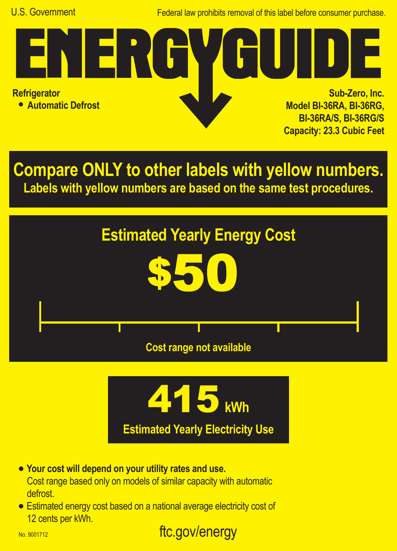Federal law prohibits removal of this label before consumer purchase.

**Refrigerator**

**• Automatic Defrost**

<u> TERT</u>

**Sub-Zero, Inc. Model BI-36RA, BI-36RG, BI-36RA/S, BI-36RG/S Capacity: 23.3 Cubic Feet**

**Compare ONLY to other labels with yellow numbers. Labels with yellow numbers are based on the same test procedures.**





- **• Your cost will depend on your utility rates and use.** Cost range based only on models of similar capacity with automatic defrost.
- **•** Estimated energy cost based on a national average electricity cost of 12 cents per kWh.